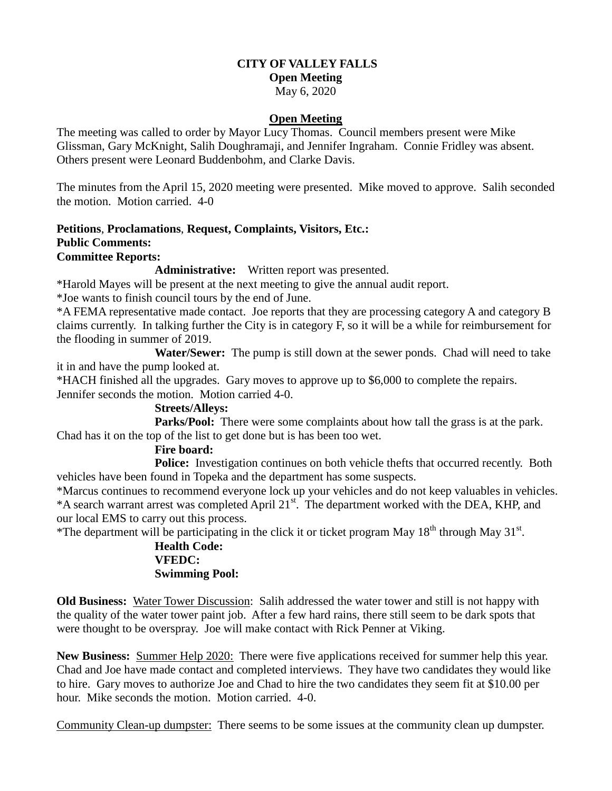# **CITY OF VALLEY FALLS**

# **Open Meeting**

May 6, 2020

#### **Open Meeting**

The meeting was called to order by Mayor Lucy Thomas. Council members present were Mike Glissman, Gary McKnight, Salih Doughramaji, and Jennifer Ingraham. Connie Fridley was absent. Others present were Leonard Buddenbohm, and Clarke Davis.

The minutes from the April 15, 2020 meeting were presented. Mike moved to approve. Salih seconded the motion. Motion carried. 4-0

#### **Petitions**, **Proclamations**, **Request, Complaints, Visitors, Etc.: Public Comments: Committee Reports:**

**Administrative:** Written report was presented.

\*Harold Mayes will be present at the next meeting to give the annual audit report.

\*Joe wants to finish council tours by the end of June.

\*A FEMA representative made contact. Joe reports that they are processing category A and category B claims currently. In talking further the City is in category F, so it will be a while for reimbursement for the flooding in summer of 2019.

 **Water/Sewer:** The pump is still down at the sewer ponds. Chad will need to take it in and have the pump looked at.

\*HACH finished all the upgrades. Gary moves to approve up to \$6,000 to complete the repairs.

Jennifer seconds the motion. Motion carried 4-0.

## **Streets/Alleys:**

**Parks/Pool:** There were some complaints about how tall the grass is at the park. Chad has it on the top of the list to get done but is has been too wet.

## **Fire board:**

**Police:** Investigation continues on both vehicle thefts that occurred recently. Both vehicles have been found in Topeka and the department has some suspects.

\*Marcus continues to recommend everyone lock up your vehicles and do not keep valuables in vehicles. \*A search warrant arrest was completed April 21<sup>st</sup>. The department worked with the DEA, KHP, and our local EMS to carry out this process.

\*The department will be participating in the click it or ticket program May  $18<sup>th</sup>$  through May  $31<sup>st</sup>$ .

### **Health Code: VFEDC: Swimming Pool:**

**Old Business:** Water Tower Discussion: Salih addressed the water tower and still is not happy with the quality of the water tower paint job. After a few hard rains, there still seem to be dark spots that were thought to be overspray. Joe will make contact with Rick Penner at Viking.

**New Business:** Summer Help 2020: There were five applications received for summer help this year. Chad and Joe have made contact and completed interviews. They have two candidates they would like to hire. Gary moves to authorize Joe and Chad to hire the two candidates they seem fit at \$10.00 per hour. Mike seconds the motion. Motion carried. 4-0.

Community Clean-up dumpster: There seems to be some issues at the community clean up dumpster.